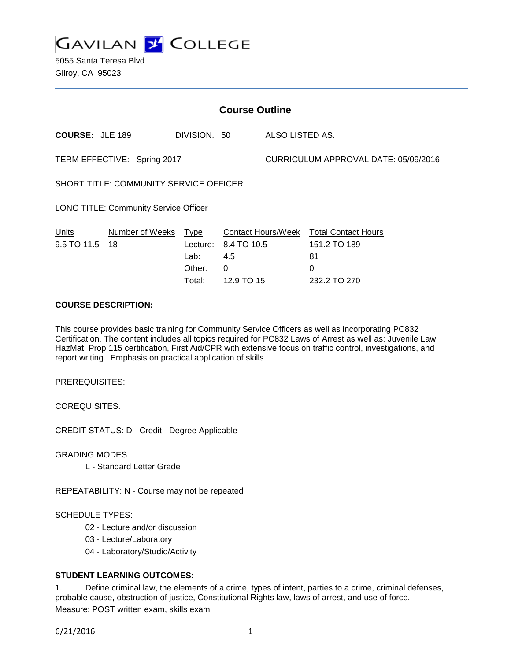**GAVILAN 2 COLLEGE** 

5055 Santa Teresa Blvd Gilroy, CA 95023

| <b>Course Outline</b>                         |                              |              |             |                                      |                                                        |
|-----------------------------------------------|------------------------------|--------------|-------------|--------------------------------------|--------------------------------------------------------|
| <b>COURSE: JLE 189</b>                        |                              | DIVISION: 50 |             | ALSO LISTED AS:                      |                                                        |
| TERM EFFECTIVE: Spring 2017                   |                              |              |             | CURRICULUM APPROVAL DATE: 05/09/2016 |                                                        |
| <b>SHORT TITLE: COMMUNITY SERVICE OFFICER</b> |                              |              |             |                                      |                                                        |
| <b>LONG TITLE: Community Service Officer</b>  |                              |              |             |                                      |                                                        |
| Units<br>9.5 TO 11.5                          | Number of Weeks Type<br>- 18 | Lecture:     | 8.4 TO 10.5 |                                      | Contact Hours/Week Total Contact Hours<br>151.2 TO 189 |
|                                               |                              | Lab:         | 4.5         |                                      | 81                                                     |
|                                               |                              | Other:       | 0           |                                      | 0                                                      |

### **COURSE DESCRIPTION:**

This course provides basic training for Community Service Officers as well as incorporating PC832 Certification. The content includes all topics required for PC832 Laws of Arrest as well as: Juvenile Law, HazMat, Prop 115 certification, First Aid/CPR with extensive focus on traffic control, investigations, and report writing. Emphasis on practical application of skills.

Total: 12.9 TO 15 232.2 TO 270

PREREQUISITES:

COREQUISITES:

CREDIT STATUS: D - Credit - Degree Applicable

GRADING MODES

L - Standard Letter Grade

REPEATABILITY: N - Course may not be repeated

#### SCHEDULE TYPES:

- 02 Lecture and/or discussion
- 03 Lecture/Laboratory
- 04 Laboratory/Studio/Activity

#### **STUDENT LEARNING OUTCOMES:**

1. Define criminal law, the elements of a crime, types of intent, parties to a crime, criminal defenses, probable cause, obstruction of justice, Constitutional Rights law, laws of arrest, and use of force. Measure: POST written exam, skills exam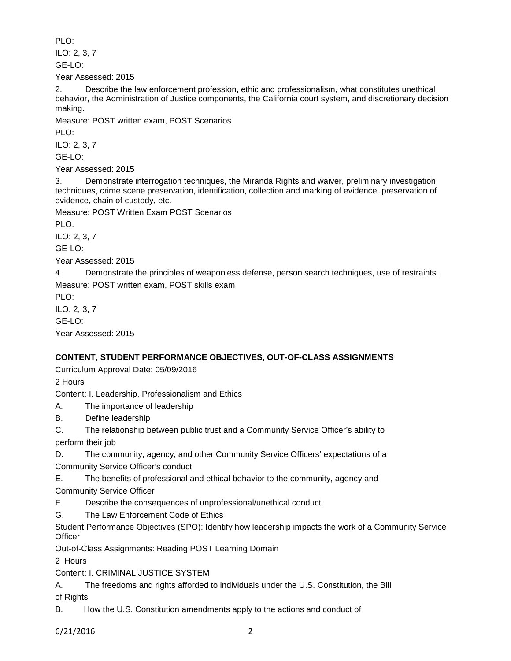PLO:

ILO: 2, 3, 7

GE-LO:

Year Assessed: 2015

2. Describe the law enforcement profession, ethic and professionalism, what constitutes unethical behavior, the Administration of Justice components, the California court system, and discretionary decision making.

Measure: POST written exam, POST Scenarios

PLO:

ILO: 2, 3, 7

GE-LO:

Year Assessed: 2015

3. Demonstrate interrogation techniques, the Miranda Rights and waiver, preliminary investigation techniques, crime scene preservation, identification, collection and marking of evidence, preservation of evidence, chain of custody, etc.

Measure: POST Written Exam POST Scenarios

PLO:

ILO: 2, 3, 7

GE-LO:

Year Assessed: 2015

4. Demonstrate the principles of weaponless defense, person search techniques, use of restraints. Measure: POST written exam, POST skills exam

PLO:

ILO: 2, 3, 7 GE-LO: Year Assessed: 2015

# **CONTENT, STUDENT PERFORMANCE OBJECTIVES, OUT-OF-CLASS ASSIGNMENTS**

Curriculum Approval Date: 05/09/2016

2 Hours

Content: I. Leadership, Professionalism and Ethics

A. The importance of leadership

B. Define leadership

C. The relationship between public trust and a Community Service Officer's ability to perform their job

D. The community, agency, and other Community Service Officers' expectations of a

Community Service Officer's conduct

E. The benefits of professional and ethical behavior to the community, agency and Community Service Officer

F. Describe the consequences of unprofessional/unethical conduct

G. The Law Enforcement Code of Ethics

Student Performance Objectives (SPO): Identify how leadership impacts the work of a Community Service **Officer** 

Out-of-Class Assignments: Reading POST Learning Domain

2 Hours

Content: I. CRIMINAL JUSTICE SYSTEM

A. The freedoms and rights afforded to individuals under the U.S. Constitution, the Bill

of Rights

B. How the U.S. Constitution amendments apply to the actions and conduct of

6/21/2016 2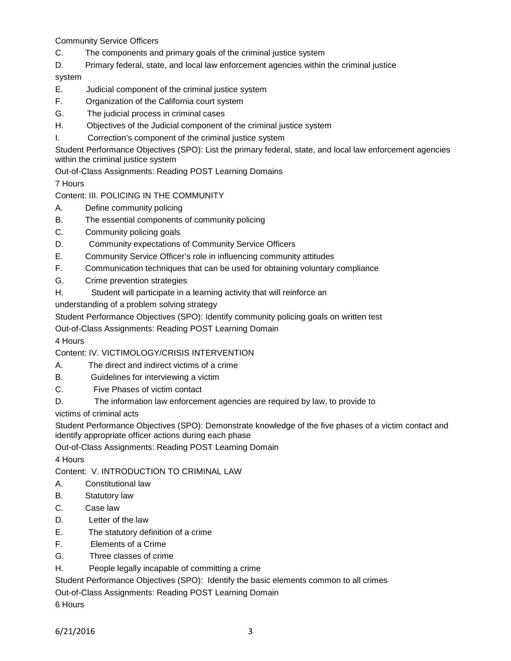Community Service Officers

- C. The components and primary goals of the criminal justice system
- D. Primary federal, state, and local law enforcement agencies within the criminal justice

# system

- E. Judicial component of the criminal justice system
- F. Organization of the California court system
- G. The judicial process in criminal cases
- H. Objectives of the Judicial component of the criminal justice system
- I. Correction's component of the criminal justice system

Student Performance Objectives (SPO): List the primary federal, state, and local law enforcement agencies within the criminal justice system

Out-of-Class Assignments: Reading POST Learning Domains

7 Hours

# Content: III. POLICING IN THE COMMUNITY

- A. Define community policing
- B. The essential components of community policing
- C. Community policing goals
- D. Community expectations of Community Service Officers
- E. Community Service Officer's role in influencing community attitudes
- F. Communication techniques that can be used for obtaining voluntary compliance
- G. Crime prevention strategies
- H. Student will participate in a learning activity that will reinforce an

understanding of a problem solving strategy

Student Performance Objectives (SPO): Identify community policing goals on written test

Out-of-Class Assignments: Reading POST Learning Domain

4 Hours

# Content: IV. VICTIMOLOGY/CRISIS INTERVENTION

- A. The direct and indirect victims of a crime
- B. Guidelines for interviewing a victim
- C. Five Phases of victim contact
- D. The information law enforcement agencies are required by law, to provide to

victims of criminal acts

Student Performance Objectives (SPO): Demonstrate knowledge of the five phases of a victim contact and identify appropriate officer actions during each phase

Out-of-Class Assignments: Reading POST Learning Domain

4 Hours

Content: V. INTRODUCTION TO CRIMINAL LAW

- A. Constitutional law
- B. Statutory law
- C. Case law
- D. Letter of the law
- E. The statutory definition of a crime
- F. Elements of a Crime
- G. Three classes of crime
- H. People legally incapable of committing a crime

Student Performance Objectives (SPO): Identify the basic elements common to all crimes

Out-of-Class Assignments: Reading POST Learning Domain

6 Hours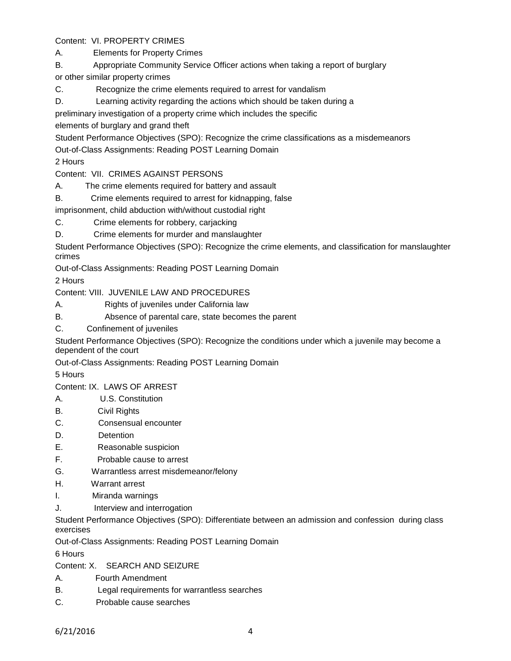Content: VI. PROPERTY CRIMES

A. Elements for Property Crimes

B. Appropriate Community Service Officer actions when taking a report of burglary

or other similar property crimes

C. Recognize the crime elements required to arrest for vandalism

D. Learning activity regarding the actions which should be taken during a

preliminary investigation of a property crime which includes the specific

elements of burglary and grand theft

Student Performance Objectives (SPO): Recognize the crime classifications as a misdemeanors

Out-of-Class Assignments: Reading POST Learning Domain

2 Hours

Content: VII. CRIMES AGAINST PERSONS

A. The crime elements required for battery and assault

B. Crime elements required to arrest for kidnapping, false

imprisonment, child abduction with/without custodial right

C. Crime elements for robbery, carjacking

D. Crime elements for murder and manslaughter

Student Performance Objectives (SPO): Recognize the crime elements, and classification for manslaughter crimes

Out-of-Class Assignments: Reading POST Learning Domain

2 Hours

Content: VIII. JUVENILE LAW AND PROCEDURES

- A. Rights of juveniles under California law
- B. Absence of parental care, state becomes the parent
- C. Confinement of juveniles

Student Performance Objectives (SPO): Recognize the conditions under which a juvenile may become a dependent of the court

Out-of-Class Assignments: Reading POST Learning Domain

5 Hours

Content: IX. LAWS OF ARREST

- A. U.S. Constitution
- B. Civil Rights
- C. Consensual encounter
- D. Detention
- E. Reasonable suspicion
- F. Probable cause to arrest
- G. Warrantless arrest misdemeanor/felony
- H. Warrant arrest
- I. Miranda warnings
- J. Interview and interrogation

Student Performance Objectives (SPO): Differentiate between an admission and confession during class exercises

Out-of-Class Assignments: Reading POST Learning Domain

6 Hours

# Content: X. SEARCH AND SEIZURE

- A. Fourth Amendment
- B. Legal requirements for warrantless searches
- C. Probable cause searches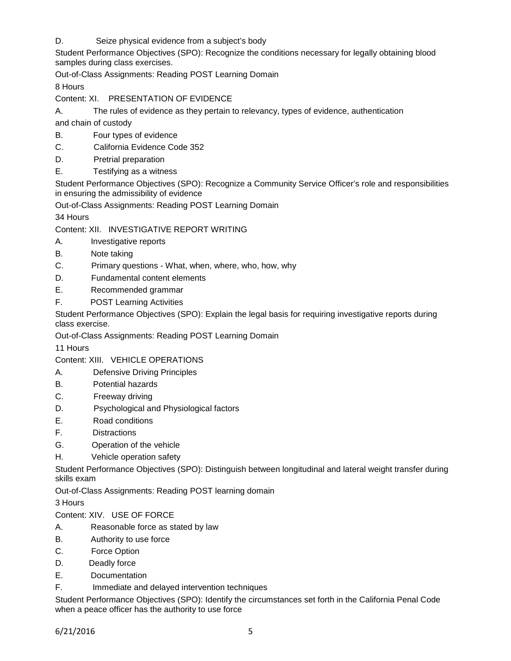D. Seize physical evidence from a subject's body

Student Performance Objectives (SPO): Recognize the conditions necessary for legally obtaining blood samples during class exercises.

Out-of-Class Assignments: Reading POST Learning Domain

8 Hours

Content: XI. PRESENTATION OF EVIDENCE

A. The rules of evidence as they pertain to relevancy, types of evidence, authentication

and chain of custody

- B. Four types of evidence
- C. California Evidence Code 352
- D. Pretrial preparation
- E. Testifying as a witness

Student Performance Objectives (SPO): Recognize a Community Service Officer's role and responsibilities in ensuring the admissibility of evidence

Out-of-Class Assignments: Reading POST Learning Domain

34 Hours

Content: XII. INVESTIGATIVE REPORT WRITING

- A. Investigative reports
- B. Note taking
- C. Primary questions What, when, where, who, how, why
- D. Fundamental content elements
- E. Recommended grammar
- F. POST Learning Activities

Student Performance Objectives (SPO): Explain the legal basis for requiring investigative reports during class exercise.

Out-of-Class Assignments: Reading POST Learning Domain

11 Hours

#### Content: XIII. VEHICLE OPERATIONS

- A. Defensive Driving Principles
- B. Potential hazards
- C. Freeway driving
- D. Psychological and Physiological factors
- E. Road conditions
- F. Distractions
- G. Operation of the vehicle
- H. Vehicle operation safety

Student Performance Objectives (SPO): Distinguish between longitudinal and lateral weight transfer during skills exam

Out-of-Class Assignments: Reading POST learning domain

3 Hours

Content: XIV. USE OF FORCE

- A. Reasonable force as stated by law
- B. Authority to use force
- C. Force Option
- D. Deadly force
- E. Documentation
- F. Immediate and delayed intervention techniques

Student Performance Objectives (SPO): Identify the circumstances set forth in the California Penal Code when a peace officer has the authority to use force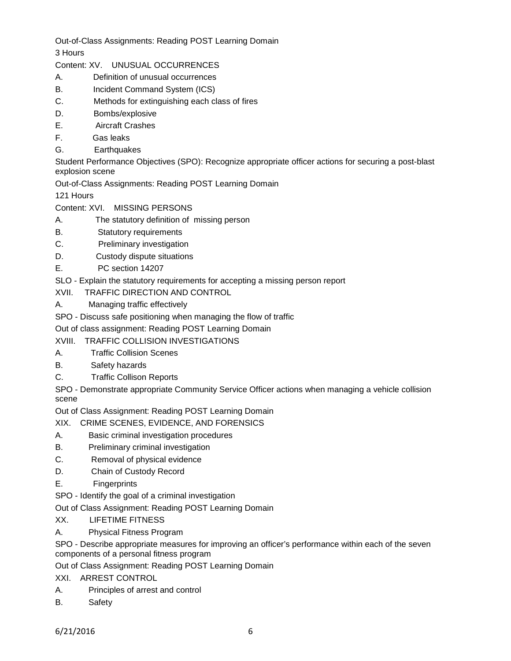Out-of-Class Assignments: Reading POST Learning Domain

3 Hours

- Content: XV. UNUSUAL OCCURRENCES
- A. Definition of unusual occurrences
- B. Incident Command System (ICS)
- C. Methods for extinguishing each class of fires
- D. Bombs/explosive
- E. Aircraft Crashes
- F. Gas leaks
- G. Earthquakes

Student Performance Objectives (SPO): Recognize appropriate officer actions for securing a post-blast explosion scene

Out-of-Class Assignments: Reading POST Learning Domain

121 Hours

- Content: XVI. MISSING PERSONS
- A. The statutory definition of missing person
- B. Statutory requirements
- C. Preliminary investigation
- D. Custody dispute situations
- E. PC section 14207

SLO - Explain the statutory requirements for accepting a missing person report

- XVII. TRAFFIC DIRECTION AND CONTROL
- A. Managing traffic effectively

SPO - Discuss safe positioning when managing the flow of traffic

Out of class assignment: Reading POST Learning Domain

# XVIII. TRAFFIC COLLISION INVESTIGATIONS

- A. Traffic Collision Scenes
- B. Safety hazards
- C. Traffic Collison Reports

SPO - Demonstrate appropriate Community Service Officer actions when managing a vehicle collision scene

Out of Class Assignment: Reading POST Learning Domain

- XIX. CRIME SCENES, EVIDENCE, AND FORENSICS
- A. Basic criminal investigation procedures
- B. Preliminary criminal investigation
- C. Removal of physical evidence
- D. Chain of Custody Record
- E. Fingerprints
- SPO Identify the goal of a criminal investigation

Out of Class Assignment: Reading POST Learning Domain

- XX. LIFETIME FITNESS
- A. Physical Fitness Program

SPO - Describe appropriate measures for improving an officer's performance within each of the seven components of a personal fitness program

Out of Class Assignment: Reading POST Learning Domain

XXI. ARREST CONTROL

- A. Principles of arrest and control
- B. Safety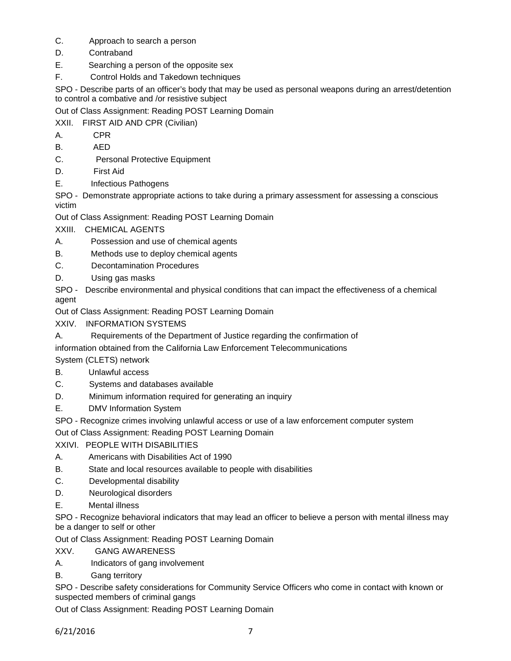- C. Approach to search a person
- D. Contraband
- E. Searching a person of the opposite sex
- F. Control Holds and Takedown techniques

SPO - Describe parts of an officer's body that may be used as personal weapons during an arrest/detention to control a combative and /or resistive subject

Out of Class Assignment: Reading POST Learning Domain

XXII. FIRST AID AND CPR (Civilian)

- A. CPR
- B. AED
- C. Personal Protective Equipment
- D. First Aid
- E. Infectious Pathogens

SPO - Demonstrate appropriate actions to take during a primary assessment for assessing a conscious victim

Out of Class Assignment: Reading POST Learning Domain

XXIII. CHEMICAL AGENTS

- A. Possession and use of chemical agents
- B. Methods use to deploy chemical agents
- C. Decontamination Procedures
- D. Using gas masks

SPO - Describe environmental and physical conditions that can impact the effectiveness of a chemical agent

Out of Class Assignment: Reading POST Learning Domain

XXIV. INFORMATION SYSTEMS

A. Requirements of the Department of Justice regarding the confirmation of

information obtained from the California Law Enforcement Telecommunications

System (CLETS) network

- B. Unlawful access
- C. Systems and databases available
- D. Minimum information required for generating an inquiry
- E. DMV Information System

SPO - Recognize crimes involving unlawful access or use of a law enforcement computer system

Out of Class Assignment: Reading POST Learning Domain

XXIVI. PEOPLE WITH DISABILITIES

- A. Americans with Disabilities Act of 1990
- B. State and local resources available to people with disabilities
- C. Developmental disability
- D. Neurological disorders
- E. Mental illness

SPO - Recognize behavioral indicators that may lead an officer to believe a person with mental illness may be a danger to self or other

Out of Class Assignment: Reading POST Learning Domain

- XXV. GANG AWARENESS
- A. Indicators of gang involvement
- B. Gang territory

SPO - Describe safety considerations for Community Service Officers who come in contact with known or suspected members of criminal gangs

Out of Class Assignment: Reading POST Learning Domain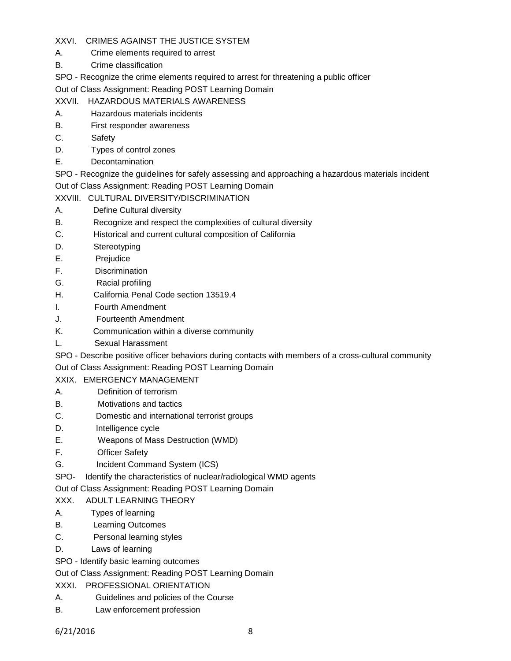# XXVI. CRIMES AGAINST THE JUSTICE SYSTEM

- A. Crime elements required to arrest
- B. Crime classification

SPO - Recognize the crime elements required to arrest for threatening a public officer

Out of Class Assignment: Reading POST Learning Domain

- XXVII. HAZARDOUS MATERIALS AWARENESS
- A. Hazardous materials incidents
- B. First responder awareness
- C. Safety
- D. Types of control zones
- E. Decontamination

SPO - Recognize the guidelines for safely assessing and approaching a hazardous materials incident Out of Class Assignment: Reading POST Learning Domain

# XXVIII. CULTURAL DIVERSITY/DISCRIMINATION

- A. Define Cultural diversity
- B. Recognize and respect the complexities of cultural diversity
- C. Historical and current cultural composition of California
- D. Stereotyping
- E. Prejudice
- F. Discrimination
- G. Racial profiling
- H. California Penal Code section 13519.4
- I. Fourth Amendment
- J. Fourteenth Amendment
- K. Communication within a diverse community
- L. Sexual Harassment

SPO - Describe positive officer behaviors during contacts with members of a cross-cultural community

Out of Class Assignment: Reading POST Learning Domain

# XXIX. EMERGENCY MANAGEMENT

- A. Definition of terrorism
- B. Motivations and tactics
- C. Domestic and international terrorist groups
- D. **Intelligence cycle**
- E. Weapons of Mass Destruction (WMD)
- F. Officer Safety
- G. Incident Command System (ICS)
- SPO- Identify the characteristics of nuclear/radiological WMD agents

Out of Class Assignment: Reading POST Learning Domain

# XXX. ADULT LEARNING THEORY

- A. Types of learning
- B. Learning Outcomes
- C. Personal learning styles
- D. Laws of learning
- SPO Identify basic learning outcomes

Out of Class Assignment: Reading POST Learning Domain

- XXXI. PROFESSIONAL ORIENTATION
- A. Guidelines and policies of the Course
- B. Law enforcement profession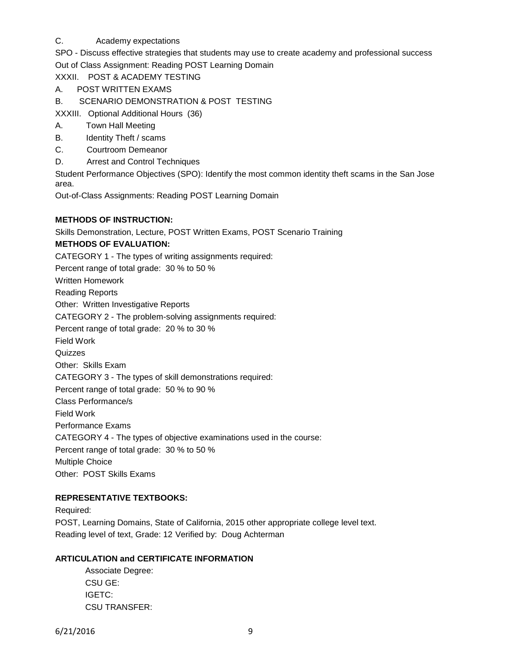### C. Academy expectations

SPO - Discuss effective strategies that students may use to create academy and professional success Out of Class Assignment: Reading POST Learning Domain

XXXII. POST & ACADEMY TESTING

- A. POST WRITTEN EXAMS
- B. SCENARIO DEMONSTRATION & POST TESTING

XXXIII. Optional Additional Hours (36)

- A. Town Hall Meeting
- B. Identity Theft / scams
- C. Courtroom Demeanor
- D. Arrest and Control Techniques

Student Performance Objectives (SPO): Identify the most common identity theft scams in the San Jose area.

Out-of-Class Assignments: Reading POST Learning Domain

#### **METHODS OF INSTRUCTION:**

Skills Demonstration, Lecture, POST Written Exams, POST Scenario Training

#### **METHODS OF EVALUATION:**

CATEGORY 1 - The types of writing assignments required:

Percent range of total grade: 30 % to 50 %

Written Homework

Reading Reports

Other: Written Investigative Reports

CATEGORY 2 - The problem-solving assignments required:

Percent range of total grade: 20 % to 30 %

Field Work

Quizzes

Other: Skills Exam

CATEGORY 3 - The types of skill demonstrations required:

Percent range of total grade: 50 % to 90 %

Class Performance/s

Field Work

Performance Exams

CATEGORY 4 - The types of objective examinations used in the course:

Percent range of total grade: 30 % to 50 %

Multiple Choice

Other: POST Skills Exams

# **REPRESENTATIVE TEXTBOOKS:**

Required: POST, Learning Domains, State of California, 2015 other appropriate college level text. Reading level of text, Grade: 12 Verified by: Doug Achterman

#### **ARTICULATION and CERTIFICATE INFORMATION**

Associate Degree: CSU GE: IGETC: CSU TRANSFER: